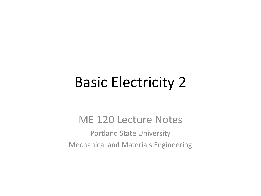## Basic Electricity 2

#### ME 120 Lecture Notes

Portland State University Mechanical and Materials Engineering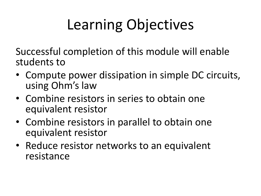# Learning Objectives

Successful completion of this module will enable students to

- Compute power dissipation in simple DC circuits, using Ohm's law
- Combine resistors in series to obtain one equivalent resistor
- Combine resistors in parallel to obtain one equivalent resistor
- Reduce resistor networks to an equivalent resistance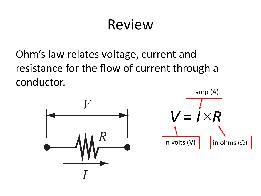## Review

Ohm's law relates voltage, current and resistance for the flow of current through a conductor.



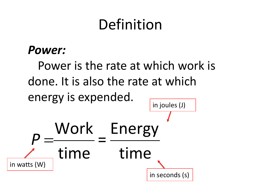## Definition

#### *Power:*

Power is the rate at which work is done. It is also the rate at which energy is expended. time time Energy in  $P = \frac{Work}{N} = \frac{Energy}{N}$ in joules (J) in seconds (s) in watts (W)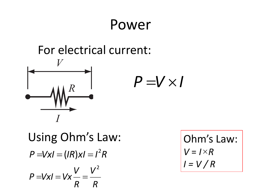### Power

#### For electrical current:



Using Ohm's Law:  $P = VxI = (IR)xI = I^2R$ *R*  $V^2$ *R*  $P = VxI = Vx - \frac{v}{2}$ 2  $=VxI=Vx-\frac{v}{r}$ 

Ohm's Law:  $V = I \times R$ *I = V / R*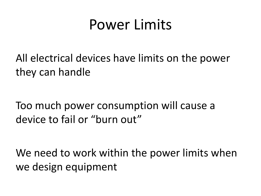## Power Limits

All electrical devices have limits on the power they can handle

Too much power consumption will cause a device to fail or "burn out"

We need to work within the power limits when we design equipment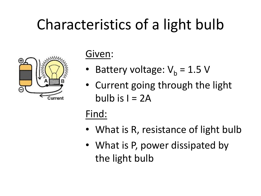# Characteristics of a light bulb



#### Given:

- Battery voltage:  $V_h = 1.5 V$
- Current going through the light bulb is  $I = 2A$

#### Find:

- What is R, resistance of light bulb
- What is P, power dissipated by the light bulb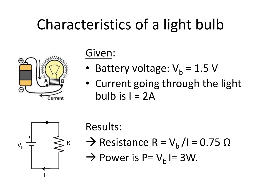# Characteristics of a light bulb



#### Given:

- Battery voltage:  $V_b = 1.5 V$
- Current going through the light bulb is  $I = 2A$



Results:

- $\rightarrow$  Resistance R = V<sub>b</sub> /I = 0.75 Ω
- $\rightarrow$  Power is P= V<sub>b</sub> I= 3W.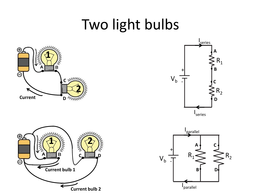## Two light bulbs







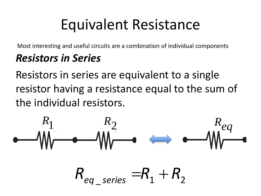## Equivalent Resistance

Most interesting and useful circuits are a combination of individual components

#### *Resistors in Series*

Resistors in series are equivalent to a single resistor having a resistance equal to the sum of the individual resistors.

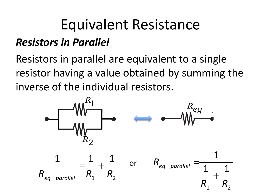# Equivalent Resistance

#### *Resistors in Parallel*

Resistors in parallel are equivalent to a single resistor having a value obtained by summing the inverse of the individual resistors. *V V*

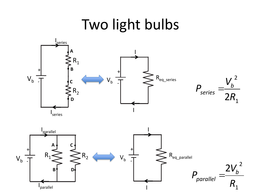## Two light bulbs